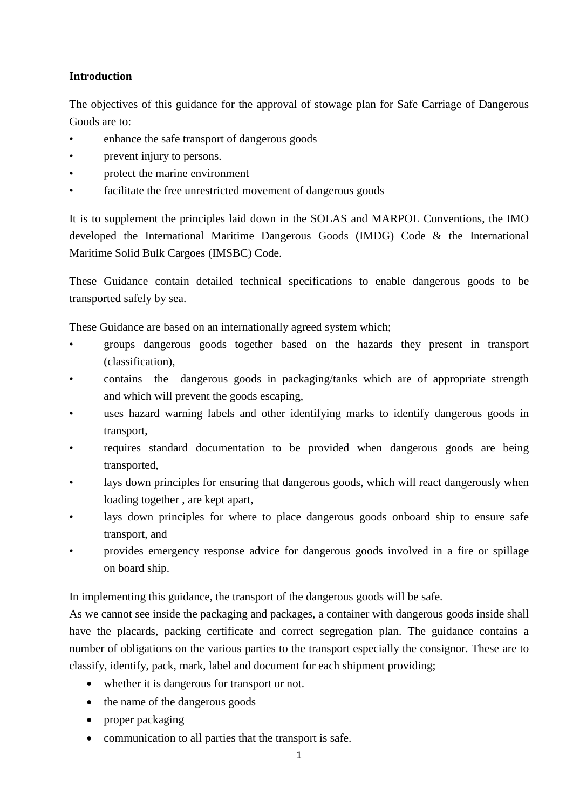# **Introduction**

The objectives of this guidance for the approval of stowage plan for Safe Carriage of Dangerous Goods are to:

- enhance the safe transport of dangerous goods
- prevent injury to persons.
- protect the marine environment
- facilitate the free unrestricted movement of dangerous goods

It is to supplement the principles laid down in the SOLAS and MARPOL Conventions, the IMO developed the International Maritime Dangerous Goods (IMDG) Code & the International Maritime Solid Bulk Cargoes (IMSBC) Code.

These Guidance contain detailed technical specifications to enable dangerous goods to be transported safely by sea.

These Guidance are based on an internationally agreed system which;

- groups dangerous goods together based on the hazards they present in transport (classification),
- contains the dangerous goods in packaging/tanks which are of appropriate strength and which will prevent the goods escaping,
- uses hazard warning labels and other identifying marks to identify dangerous goods in transport,
- requires standard documentation to be provided when dangerous goods are being transported,
- lays down principles for ensuring that dangerous goods, which will react dangerously when loading together , are kept apart,
- lays down principles for where to place dangerous goods onboard ship to ensure safe transport, and
- provides emergency response advice for dangerous goods involved in a fire or spillage on board ship.

In implementing this guidance, the transport of the dangerous goods will be safe.

As we cannot see inside the packaging and packages, a container with dangerous goods inside shall have the placards, packing certificate and correct segregation plan. The guidance contains a number of obligations on the various parties to the transport especially the consignor. These are to classify, identify, pack, mark, label and document for each shipment providing;

- whether it is dangerous for transport or not.
- the name of the dangerous goods
- proper packaging
- communication to all parties that the transport is safe.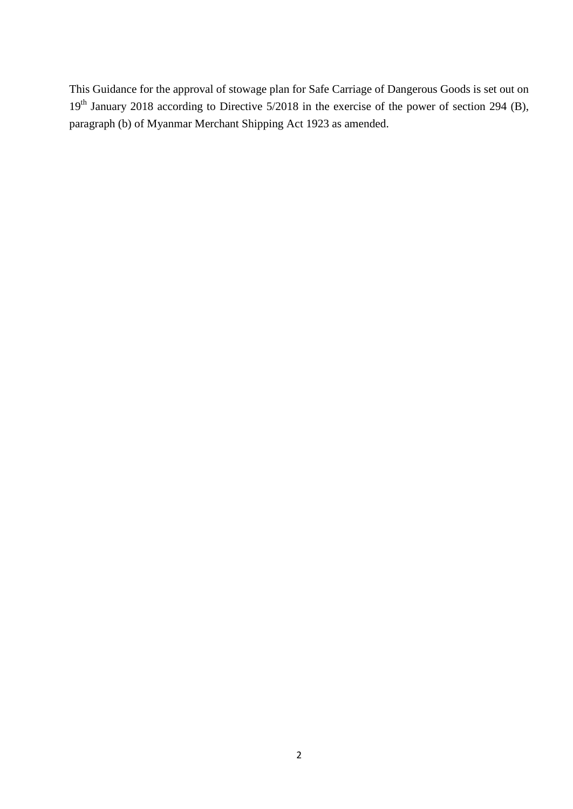This Guidance for the approval of stowage plan for Safe Carriage of Dangerous Goods is set out on 19<sup>th</sup> January 2018 according to Directive 5/2018 in the exercise of the power of section 294 (B), paragraph (b) of Myanmar Merchant Shipping Act 1923 as amended.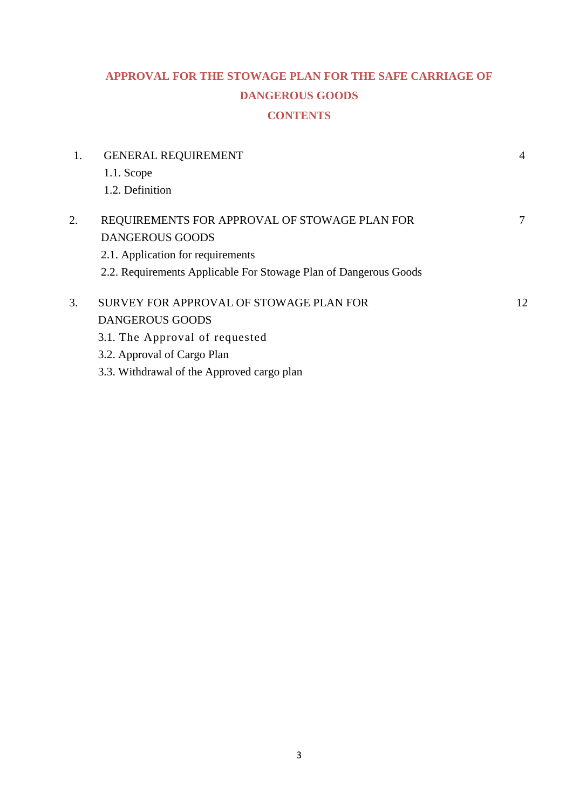# **APPROVAL FOR THE STOWAGE PLAN FOR THE SAFE CARRIAGE OF DANGEROUS GOODS CONTENTS**

| 1. | <b>GENERAL REQUIREMENT</b>                                       | 4  |
|----|------------------------------------------------------------------|----|
|    | $1.1.$ Scope                                                     |    |
|    | 1.2. Definition                                                  |    |
| 2. | REQUIREMENTS FOR APPROVAL OF STOWAGE PLAN FOR                    |    |
|    | <b>DANGEROUS GOODS</b>                                           |    |
|    | 2.1. Application for requirements                                |    |
|    | 2.2. Requirements Applicable For Stowage Plan of Dangerous Goods |    |
| 3. | SURVEY FOR APPROVAL OF STOWAGE PLAN FOR                          | 12 |
|    | <b>DANGEROUS GOODS</b>                                           |    |
|    | 3.1. The Approval of requested                                   |    |
|    | 3.2. Approval of Cargo Plan                                      |    |
|    | 3.3. Withdrawal of the Approved cargo plan                       |    |
|    |                                                                  |    |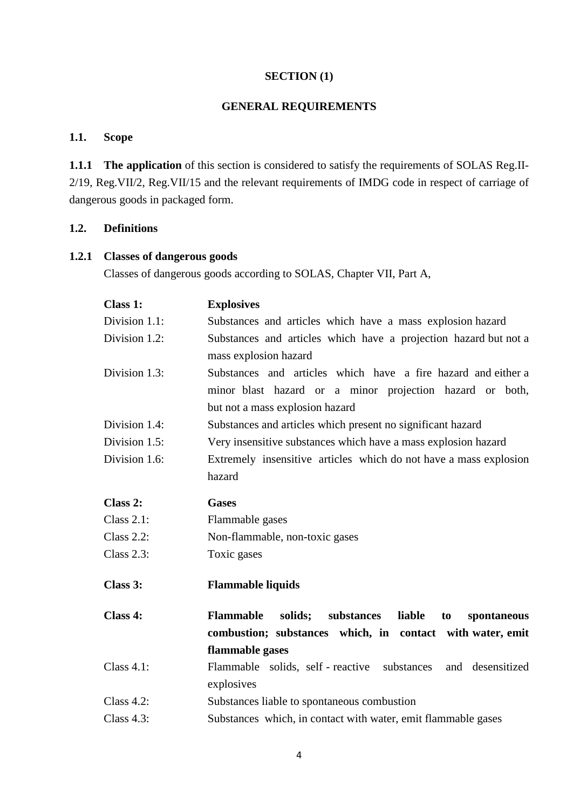#### **SECTION (1)**

# **GENERAL REQUIREMENTS**

## **1.1. Scope**

**1.1.1 The application** of this section is considered to satisfy the requirements of SOLAS Reg.II-2/19, Reg.VII/2, Reg.VII/15 and the relevant requirements of IMDG code in respect of carriage of dangerous goods in packaged form.

## **1.2. Definitions**

#### **1.2.1 Classes of dangerous goods**

Classes of dangerous goods according to SOLAS, Chapter VII, Part A,

| Class 1:          | <b>Explosives</b>                                                        |  |  |  |  |  |  |  |
|-------------------|--------------------------------------------------------------------------|--|--|--|--|--|--|--|
| Division 1.1:     | Substances and articles which have a mass explosion hazard               |  |  |  |  |  |  |  |
| Division 1.2:     | Substances and articles which have a projection hazard but not a         |  |  |  |  |  |  |  |
|                   | mass explosion hazard                                                    |  |  |  |  |  |  |  |
| Division 1.3:     | Substances and articles which have a fire hazard and either a            |  |  |  |  |  |  |  |
|                   | minor blast hazard or a minor projection hazard or both,                 |  |  |  |  |  |  |  |
|                   | but not a mass explosion hazard                                          |  |  |  |  |  |  |  |
| Division 1.4:     | Substances and articles which present no significant hazard              |  |  |  |  |  |  |  |
| Division 1.5:     | Very insensitive substances which have a mass explosion hazard           |  |  |  |  |  |  |  |
| Division 1.6:     | Extremely insensitive articles which do not have a mass explosion        |  |  |  |  |  |  |  |
|                   | hazard                                                                   |  |  |  |  |  |  |  |
| Class 2:          | <b>Gases</b>                                                             |  |  |  |  |  |  |  |
| Class $2.1$ :     | Flammable gases                                                          |  |  |  |  |  |  |  |
| <b>Class 2.2:</b> | Non-flammable, non-toxic gases                                           |  |  |  |  |  |  |  |
| <b>Class 2.3:</b> | Toxic gases                                                              |  |  |  |  |  |  |  |
| Class 3:          | <b>Flammable liquids</b>                                                 |  |  |  |  |  |  |  |
| Class 4:          | solids;<br>substances<br>liable<br><b>Flammable</b><br>spontaneous<br>to |  |  |  |  |  |  |  |
|                   | combustion; substances which, in contact with water, emit                |  |  |  |  |  |  |  |
|                   | flammable gases                                                          |  |  |  |  |  |  |  |
| Class $4.1$ :     | Flammable solids, self - reactive substances<br>and desensitized         |  |  |  |  |  |  |  |
|                   | explosives                                                               |  |  |  |  |  |  |  |
| Class $4.2$ :     | Substances liable to spontaneous combustion                              |  |  |  |  |  |  |  |
| Class $4.3$ :     | Substances which, in contact with water, emit flammable gases            |  |  |  |  |  |  |  |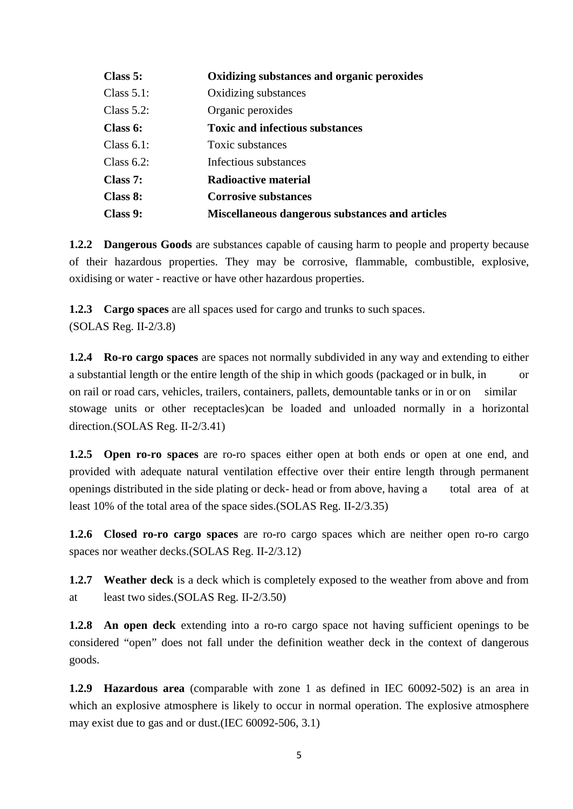| Class 5:      | Oxidizing substances and organic peroxides      |
|---------------|-------------------------------------------------|
| Class $5.1$ : | Oxidizing substances                            |
| Class $5.2$ : | Organic peroxides                               |
| Class 6:      | <b>Toxic and infectious substances</b>          |
| Class $6.1$ : | Toxic substances                                |
| Class $6.2$ : | Infectious substances                           |
| Class 7:      | Radioactive material                            |
| Class 8:      | <b>Corrosive substances</b>                     |
| Class 9:      | Miscellaneous dangerous substances and articles |

**1.2.2 Dangerous Goods** are substances capable of causing harm to people and property because of their hazardous properties. They may be corrosive, flammable, combustible, explosive, oxidising or water - reactive or have other hazardous properties.

**1.2.3 Cargo spaces** are all spaces used for cargo and trunks to such spaces. (SOLAS Reg. II-2/3.8)

**1.2.4 Ro-ro cargo spaces** are spaces not normally subdivided in any way and extending to either a substantial length or the entire length of the ship in which goods (packaged or in bulk, in or on rail or road cars, vehicles, trailers, containers, pallets, demountable tanks or in or on similar stowage units or other receptacles)can be loaded and unloaded normally in a horizontal direction.(SOLAS Reg. II-2/3.41)

**1.2.5 Open ro-ro spaces** are ro-ro spaces either open at both ends or open at one end, and provided with adequate natural ventilation effective over their entire length through permanent openings distributed in the side plating or deck- head or from above, having a total area of at least 10% of the total area of the space sides.(SOLAS Reg. II-2/3.35)

**1.2.6 Closed ro-ro cargo spaces** are ro-ro cargo spaces which are neither open ro-ro cargo spaces nor weather decks.(SOLAS Reg. II-2/3.12)

**1.2.7 Weather deck** is a deck which is completely exposed to the weather from above and from at least two sides.(SOLAS Reg. II-2/3.50)

**1.2.8 An open deck** extending into a ro-ro cargo space not having sufficient openings to be considered "open" does not fall under the definition weather deck in the context of dangerous goods.

**1.2.9 Hazardous area** (comparable with zone 1 as defined in IEC 60092-502) is an area in which an explosive atmosphere is likely to occur in normal operation. The explosive atmosphere may exist due to gas and or dust.(IEC 60092-506, 3.1)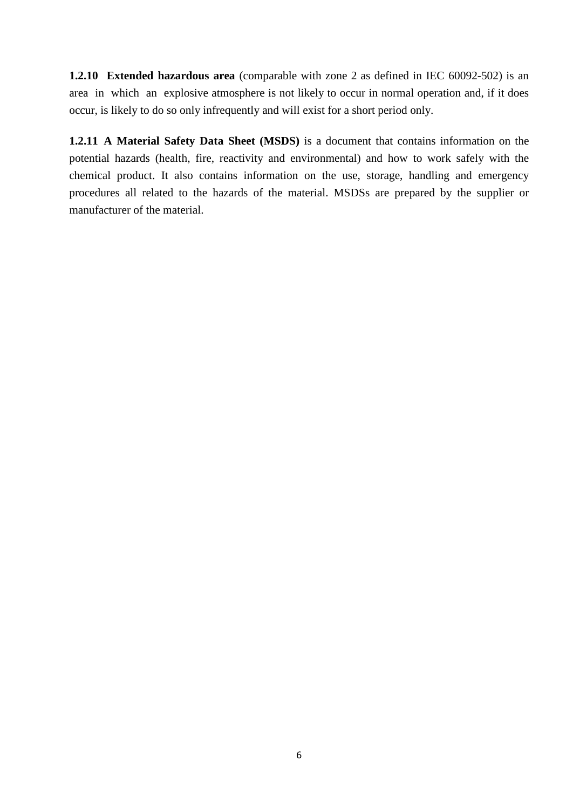**1.2.10 Extended hazardous area** (comparable with zone 2 as defined in IEC 60092-502) is an area in which an explosive atmosphere is not likely to occur in normal operation and, if it does occur, is likely to do so only infrequently and will exist for a short period only.

**1.2.11 A Material Safety Data Sheet (MSDS)** is a document that contains information on the potential hazards (health, fire, reactivity and environmental) and how to work safely with the chemical product. It also contains information on the use, storage, handling and emergency procedures all related to the hazards of the material. MSDSs are prepared by the supplier or manufacturer of the material.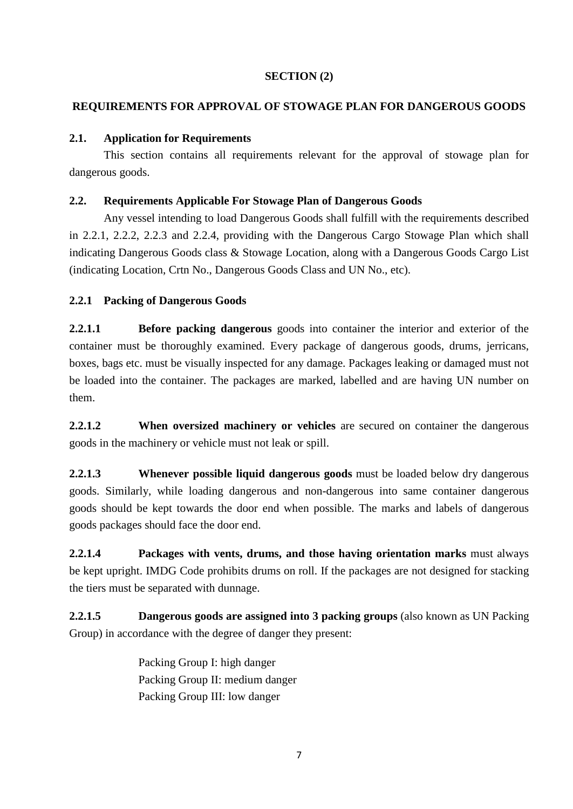# **SECTION (2)**

# **REQUIREMENTS FOR APPROVAL OF STOWAGE PLAN FOR DANGEROUS GOODS**

## **2.1. Application for Requirements**

This section contains all requirements relevant for the approval of stowage plan for dangerous goods.

## **2.2. Requirements Applicable For Stowage Plan of Dangerous Goods**

Any vessel intending to load Dangerous Goods shall fulfill with the requirements described in 2.2.1, 2.2.2, 2.2.3 and 2.2.4, providing with the Dangerous Cargo Stowage Plan which shall indicating Dangerous Goods class & Stowage Location, along with a Dangerous Goods Cargo List (indicating Location, Crtn No., Dangerous Goods Class and UN No., etc).

# **2.2.1 Packing of Dangerous Goods**

**2.2.1.1 Before packing dangerous** goods into container the interior and exterior of the container must be thoroughly examined. Every package of dangerous goods, drums, jerricans, boxes, bags etc. must be visually inspected for any damage. Packages leaking or damaged must not be loaded into the container. The packages are marked, labelled and are having UN number on them.

**2.2.1.2 When oversized machinery or vehicles** are secured on container the dangerous goods in the machinery or vehicle must not leak or spill.

**2.2.1.3 Whenever possible liquid dangerous goods** must be loaded below dry dangerous goods. Similarly, while loading dangerous and non-dangerous into same container dangerous goods should be kept towards the door end when possible. The marks and labels of dangerous goods packages should face the door end.

**2.2.1.4 Packages with vents, drums, and those having orientation marks** must always be kept upright. IMDG Code prohibits drums on roll. If the packages are not designed for stacking the tiers must be separated with dunnage.

**2.2.1.5 Dangerous goods are assigned into 3 packing groups** (also known as UN Packing Group) in accordance with the degree of danger they present:

> Packing Group I: high danger Packing Group II: medium danger Packing Group III: low danger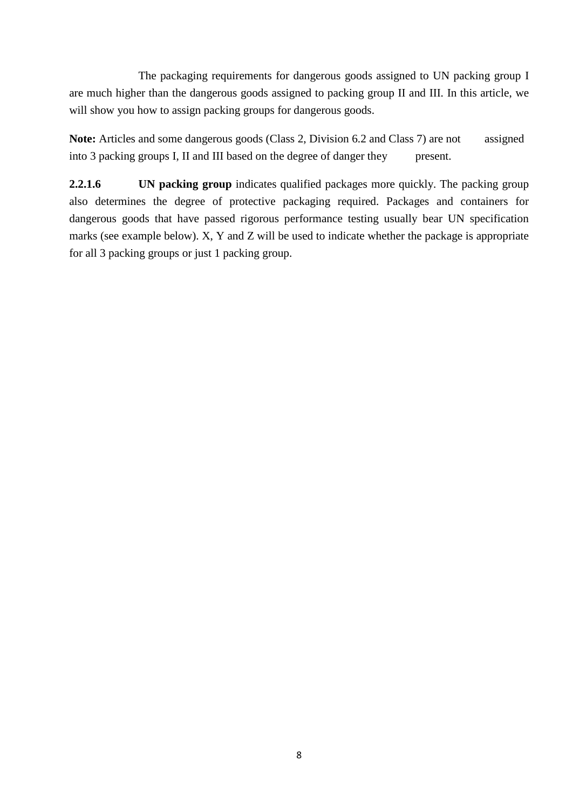The packaging requirements for dangerous goods assigned to UN packing group I are much higher than the dangerous goods assigned to packing group II and III. In this article, we will show you how to assign packing groups for dangerous goods.

Note: Articles and some dangerous goods (Class 2, Division 6.2 and Class 7) are not assigned into 3 packing groups I, II and III based on the degree of danger they present.

**2.2.1.6** UN **packing group** indicates qualified packages more quickly. The packing group also determines the degree of protective packaging required. Packages and containers for dangerous goods that have passed rigorous performance testing usually bear UN specification marks (see example below). X, Y and Z will be used to indicate whether the package is appropriate for all 3 packing groups or just 1 packing group.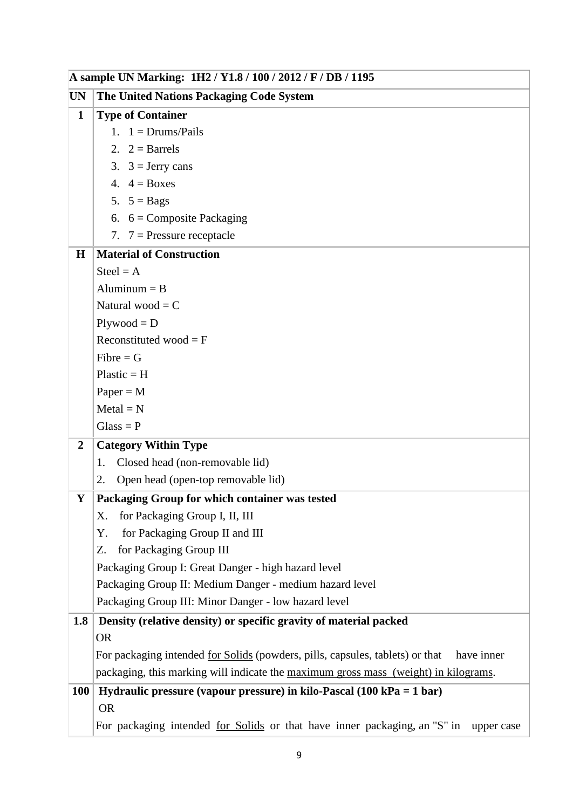|                  | A sample UN Marking: 1H2 / Y1.8 / 100 / 2012 / F / DB / 1195                                   |
|------------------|------------------------------------------------------------------------------------------------|
| UN               | The United Nations Packaging Code System                                                       |
| $\mathbf{1}$     | <b>Type of Container</b>                                                                       |
|                  | 1. $1 = Drums/Pails$                                                                           |
|                  | 2. $2 = \text{Barrels}$                                                                        |
|                  | 3. $3 =$ Jerry cans                                                                            |
|                  | 4. $4 = \text{Boxes}$                                                                          |
|                  | 5. $5 =$ Bags                                                                                  |
|                  | 6. $6 =$ Composite Packaging                                                                   |
|                  | 7. $7 =$ Pressure receptacle                                                                   |
| $\bf H$          | <b>Material of Construction</b>                                                                |
|                  | $Steel = A$                                                                                    |
|                  | Aluminum $=$ B                                                                                 |
|                  | Natural wood = $C$                                                                             |
|                  | $Plywood = D$                                                                                  |
|                  | Reconstituted wood = $F$                                                                       |
|                  | $Fibre = G$                                                                                    |
|                  | $Plastic = H$                                                                                  |
|                  | $Paper = M$                                                                                    |
|                  | $Meta = N$                                                                                     |
|                  | $Glass = P$                                                                                    |
| $\boldsymbol{2}$ | <b>Category Within Type</b>                                                                    |
|                  | Closed head (non-removable lid)<br>1.                                                          |
|                  | Open head (open-top removable lid)<br>2.                                                       |
| Y                | Packaging Group for which container was tested                                                 |
|                  | for Packaging Group I, II, III<br>Χ.                                                           |
|                  | for Packaging Group II and III<br>Y.                                                           |
|                  | for Packaging Group III<br>Z.                                                                  |
|                  | Packaging Group I: Great Danger - high hazard level                                            |
|                  | Packaging Group II: Medium Danger - medium hazard level                                        |
|                  | Packaging Group III: Minor Danger - low hazard level                                           |
| 1.8              | Density (relative density) or specific gravity of material packed                              |
|                  | <b>OR</b>                                                                                      |
|                  | For packaging intended for Solids (powders, pills, capsules, tablets) or that<br>have inner    |
|                  | packaging, this marking will indicate the maximum gross mass (weight) in kilograms.            |
| <b>100</b>       | Hydraulic pressure (vapour pressure) in kilo-Pascal $(100 \text{ kPa} = 1 \text{ bar})$        |
|                  | <b>OR</b>                                                                                      |
|                  | For packaging intended <u>for Solids</u> or that have inner packaging, an "S" in<br>upper case |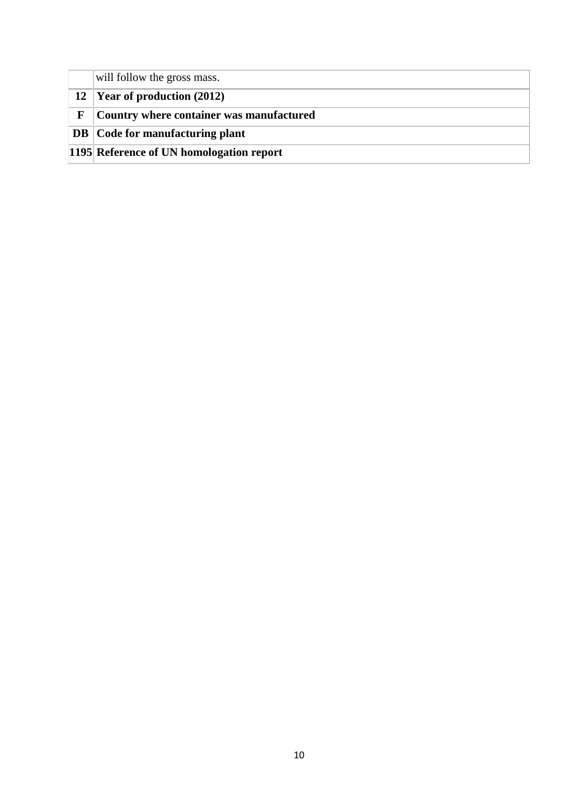|   | will follow the gross mass.              |
|---|------------------------------------------|
|   | 12 Year of production $(2012)$           |
| F | Country where container was manufactured |
|   | <b>DB</b> Code for manufacturing plant   |
|   | 1195 Reference of UN homologation report |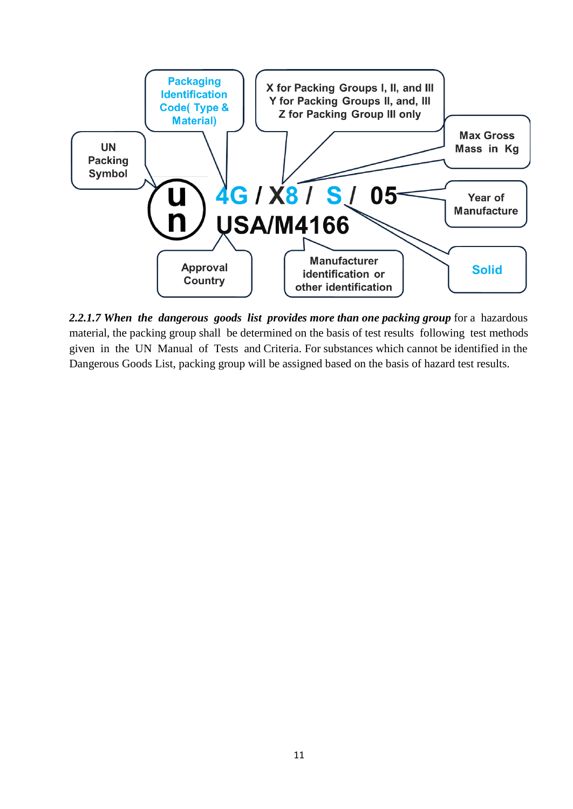

*2.2.1.7 When the dangerous goods list provides more than one packing group* for a hazardous material, the packing group shall be determined on the basis of test results following test methods given in the UN Manual of Tests and Criteria. For substances which cannot be identified in the Dangerous Goods List, packing group will be assigned based on the basis of hazard test results.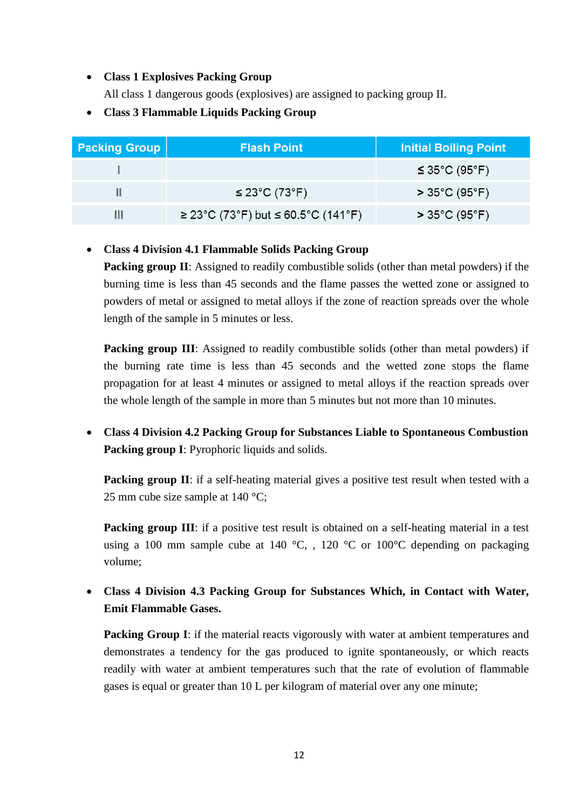#### • **Class 1 Explosives Packing Group**

All class 1 dangerous goods (explosives) are assigned to packing group II.

• **Class 3 Flammable Liquids Packing Group**

| Packing Group | <b>Flash Point</b>                 | <b>Initial Boiling Point</b>                 |
|---------------|------------------------------------|----------------------------------------------|
|               |                                    | $\leq$ 35°C (95°F)                           |
|               | $\leq$ 23°C (73°F)                 | $>35^{\circ}$ C (95 $^{\circ}$ F) $^{\circ}$ |
|               | ≥ 23°C (73°F) but ≤ 60.5°C (141°F) | $>35^{\circ}$ C (95 $^{\circ}$ F)            |

# • **Class 4 Division 4.1 Flammable Solids Packing Group**

**Packing group II**: Assigned to readily combustible solids (other than metal powders) if the burning time is less than 45 seconds and the flame passes the wetted zone or assigned to powders of metal or assigned to metal alloys if the zone of reaction spreads over the whole length of the sample in 5 minutes or less.

**Packing group III**: Assigned to readily combustible solids (other than metal powders) if the burning rate time is less than 45 seconds and the wetted zone stops the flame propagation for at least 4 minutes or assigned to metal alloys if the reaction spreads over the whole length of the sample in more than 5 minutes but not more than 10 minutes.

• **Class 4 Division 4.2 Packing Group for Substances Liable to Spontaneous Combustion Packing group I**: Pyrophoric liquids and solids.

**Packing group II:** if a self-heating material gives a positive test result when tested with a 25 mm cube size sample at 140 °C;

**Packing group III:** if a positive test result is obtained on a self-heating material in a test using a 100 mm sample cube at 140  $^{\circ}$ C, , 120  $^{\circ}$ C or 100 $^{\circ}$ C depending on packaging volume;

• **Class 4 Division 4.3 Packing Group for Substances Which, in Contact with Water, Emit Flammable Gases.**

**Packing Group I**: if the material reacts vigorously with water at ambient temperatures and demonstrates a tendency for the gas produced to ignite spontaneously, or which reacts readily with water at ambient temperatures such that the rate of evolution of flammable gases is equal or greater than 10 L per kilogram of material over any one minute;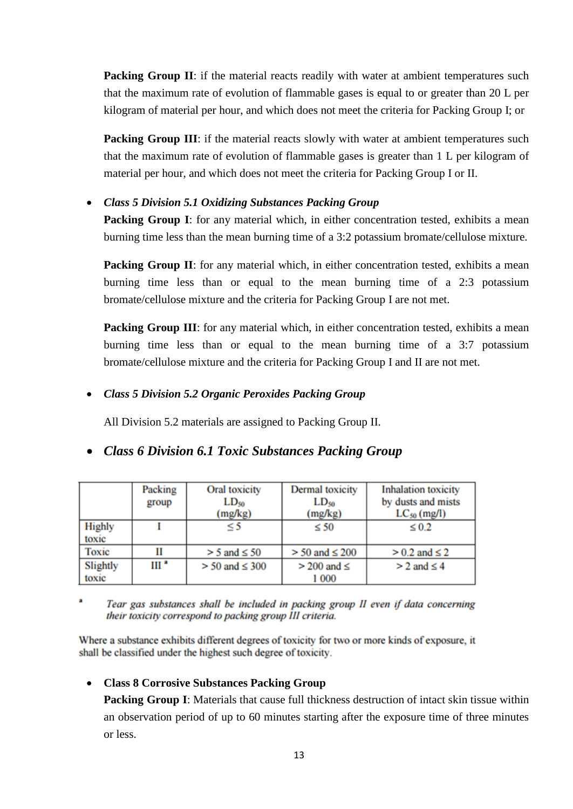**Packing Group II:** if the material reacts readily with water at ambient temperatures such that the maximum rate of evolution of flammable gases is equal to or greater than 20 L per kilogram of material per hour, and which does not meet the criteria for Packing Group I; or

**Packing Group III:** if the material reacts slowly with water at ambient temperatures such that the maximum rate of evolution of flammable gases is greater than 1 L per kilogram of material per hour, and which does not meet the criteria for Packing Group I or II.

## • *Class 5 Division 5.1 Oxidizing Substances Packing Group*

**Packing Group I**: for any material which, in either concentration tested, exhibits a mean burning time less than the mean burning time of a 3:2 potassium bromate/cellulose mixture.

**Packing Group II:** for any material which, in either concentration tested, exhibits a mean burning time less than or equal to the mean burning time of a 2:3 potassium bromate/cellulose mixture and the criteria for Packing Group I are not met.

**Packing Group III**: for any material which, in either concentration tested, exhibits a mean burning time less than or equal to the mean burning time of a 3:7 potassium bromate/cellulose mixture and the criteria for Packing Group I and II are not met.

## • *Class 5 Division 5.2 Organic Peroxides Packing Group*

All Division 5.2 materials are assigned to Packing Group II.

# • *Class 6 Division 6.1 Toxic Substances Packing Group*

|                        | Packing<br>group | Oral toxicity<br>$LD_{50}$<br>(mg/kg) | Dermal toxicity<br>$LD_{50}$<br>(mg/kg) | <b>Inhalation</b> toxicity<br>by dusts and mists<br>$LC_{50}$ (mg/l) |
|------------------------|------------------|---------------------------------------|-----------------------------------------|----------------------------------------------------------------------|
| <b>Highly</b><br>toxic |                  | $\leq$ 5                              | $\leq 50$                               | $\leq 0.2$                                                           |
| Toxic                  | П                | $> 5$ and $\leq 50$                   | $> 50$ and $\leq 200$                   | $> 0.2$ and $\leq 2$                                                 |
| Slightly               | III <sup>a</sup> | $>$ 50 and $\leq$ 300                 | $>$ 200 and $\le$                       | $> 2$ and $\leq 4$                                                   |
| toxic                  |                  |                                       | 1 000                                   |                                                                      |

 $\blacksquare$ Tear gas substances shall be included in packing group II even if data concerning their toxicity correspond to packing group III criteria.

Where a substance exhibits different degrees of toxicity for two or more kinds of exposure, it shall be classified under the highest such degree of toxicity.

#### • **Class 8 Corrosive Substances Packing Group**

**Packing Group I**: Materials that cause full thickness destruction of intact skin tissue within an observation period of up to 60 minutes starting after the exposure time of three minutes or less.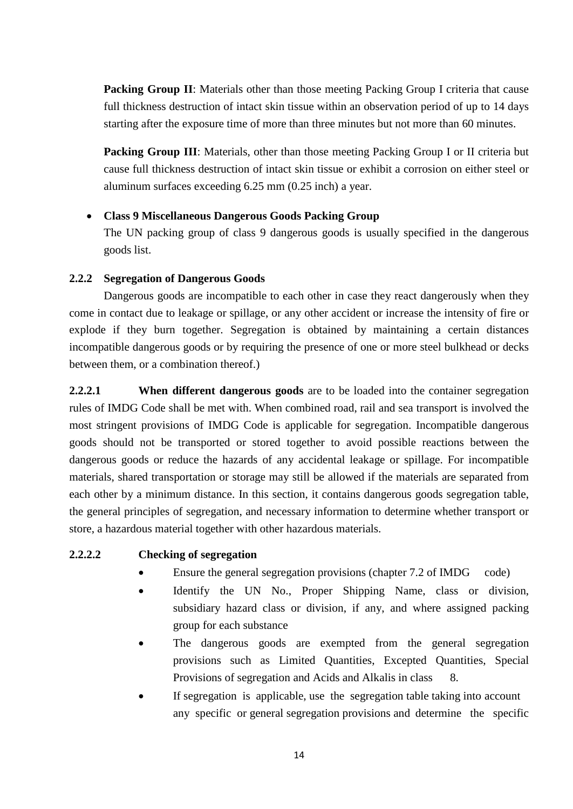**Packing Group II:** Materials other than those meeting Packing Group I criteria that cause full thickness destruction of intact skin tissue within an observation period of up to 14 days starting after the exposure time of more than three minutes but not more than 60 minutes.

**Packing Group III:** Materials, other than those meeting Packing Group I or II criteria but cause full thickness destruction of intact skin tissue or exhibit a corrosion on either steel or aluminum surfaces exceeding 6.25 mm (0.25 inch) a year.

## • **Class 9 Miscellaneous Dangerous Goods Packing Group**

The UN packing group of class 9 dangerous goods is usually specified in the dangerous goods list.

#### **2.2.2 Segregation of Dangerous Goods**

Dangerous goods are incompatible to each other in case they react dangerously when they come in contact due to leakage or spillage, or any other accident or increase the intensity of fire or explode if they burn together. Segregation is obtained by maintaining a certain distances incompatible dangerous goods or by requiring the presence of one or more steel bulkhead or decks between them, or a combination thereof.)

**2.2.2.1** When different dangerous goods are to be loaded into the container segregation rules of IMDG Code shall be met with. When combined road, rail and sea transport is involved the most stringent provisions of IMDG Code is applicable for segregation. Incompatible dangerous goods should not be transported or stored together to avoid possible reactions between the dangerous goods or reduce the hazards of any accidental leakage or spillage. For incompatible materials, shared transportation or storage may still be allowed if the materials are separated from each other by a minimum distance. In this section, it contains dangerous goods segregation table, the general principles of segregation, and necessary information to determine whether transport or store, a hazardous material together with other hazardous materials.

## **2.2.2.2 Checking of segregation**

- Ensure the general segregation provisions (chapter 7.2 of IMDG code)
- Identify the UN No., Proper Shipping Name, class or division, subsidiary hazard class or division, if any, and where assigned packing group for each substance
- The dangerous goods are exempted from the general segregation provisions such as Limited Quantities, Excepted Quantities, Special Provisions of segregation and Acids and Alkalis in class 8.
- If segregation is applicable, use the segregation table taking into account any specific or general segregation provisions and determine the specific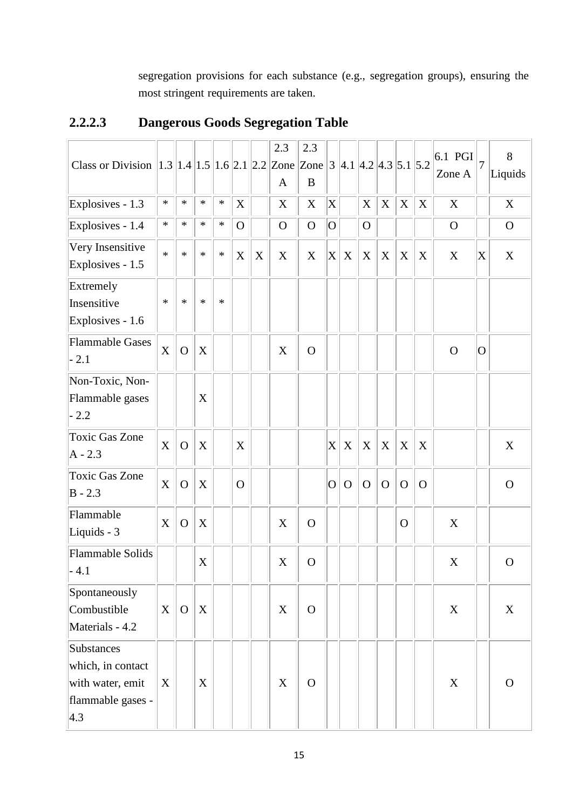segregation provisions for each substance (e.g., segregation groups), ensuring the most stringent requirements are taken.

| Class or Division $\ 1.3\ 1.4\ 1.5\ 1.6\ 2.1\ 2.2\ Zone\ Zone\ 3\ 4.1\ 4.2\ 4.3\ 5.1\ 5.2$ |                           |              |             |        |              |             | 2.3<br>A    | 2.3<br>$\bf{B}$ |                           |             |              |                           |              |          | 6.1 PGI<br>Zone A | $\overline{7}$            | 8<br>Liquids |
|--------------------------------------------------------------------------------------------|---------------------------|--------------|-------------|--------|--------------|-------------|-------------|-----------------|---------------------------|-------------|--------------|---------------------------|--------------|----------|-------------------|---------------------------|--------------|
| Explosives - 1.3                                                                           | $\ast$                    | $\ast$       | $\ast$      | $\ast$ | X            |             | X           | X               | $\boldsymbol{\mathrm{X}}$ |             | X            | $\boldsymbol{\mathrm{X}}$ | $\mathbf X$  | X        | X                 |                           | X            |
| Explosives - 1.4                                                                           | $\ast$                    | $\ast$       | $\ast$      | $\ast$ | $\Omega$     |             | $\Omega$    | $\mathbf O$     | O                         |             | $\mathbf{O}$ |                           |              |          | $\mathbf{O}$      |                           | $\mathbf{O}$ |
| Very Insensitive<br>Explosives - 1.5                                                       | $\ast$                    | $\ast$       | $\ast$      | $\ast$ | X            | $\mathbf X$ | X           | X               | $\mathbf X$               | X           | X            | X                         | X            | X        | X                 | $\boldsymbol{\mathrm{X}}$ | X            |
| Extremely<br>Insensitive<br>Explosives - 1.6                                               | $\ast$                    | $\ast$       | $\ast$      | $\ast$ |              |             |             |                 |                           |             |              |                           |              |          |                   |                           |              |
| <b>Flammable Gases</b><br>$-2.1$                                                           | $\boldsymbol{X}$          | $\Omega$     | $\mathbf X$ |        |              |             | X           | $\overline{O}$  |                           |             |              |                           |              |          | $\Omega$          | 0                         |              |
| Non-Toxic, Non-<br>Flammable gases<br>$-2.2$                                               |                           |              | X           |        |              |             |             |                 |                           |             |              |                           |              |          |                   |                           |              |
| <b>Toxic Gas Zone</b><br>$A - 2.3$                                                         | $\boldsymbol{\mathrm{X}}$ | $\mathbf{O}$ | $\mathbf X$ |        | X            |             |             |                 | X                         | X           | X            | X                         | X            | X        |                   |                           | X            |
| <b>Toxic Gas Zone</b><br>$B - 2.3$                                                         | X                         | $\mathbf O$  | $\mathbf X$ |        | $\mathbf{O}$ |             |             |                 | O                         | $\mathbf O$ | $\mathbf O$  | $\Omega$                  | $\Omega$     | $\Omega$ |                   |                           | $\mathbf{O}$ |
| Flammable<br>Liquids - 3                                                                   | X                         | $\mathbf{O}$ | $\mathbf X$ |        |              |             | $\mathbf X$ | $\mathbf O$     |                           |             |              |                           | $\mathbf{O}$ |          | X                 |                           |              |
| <b>Flammable Solids</b><br>- 4.1                                                           |                           |              | $\mathbf X$ |        |              |             | $\mathbf X$ | $\mathbf O$     |                           |             |              |                           |              |          | X                 |                           | $\mathbf O$  |
| Spontaneously<br>Combustible<br>Materials - 4.2                                            | X                         | $\mathbf{O}$ | $\mathbf X$ |        |              |             | $\mathbf X$ | $\overline{O}$  |                           |             |              |                           |              |          | X                 |                           | $\mathbf X$  |
| Substances<br>which, in contact<br>with water, emit<br>flammable gases -<br>$ 4.3\rangle$  | X                         |              | X           |        |              |             | X           | $\mathbf{O}$    |                           |             |              |                           |              |          | X                 |                           | $\Omega$     |

# **2.2.2.3 Dangerous Goods Segregation Table**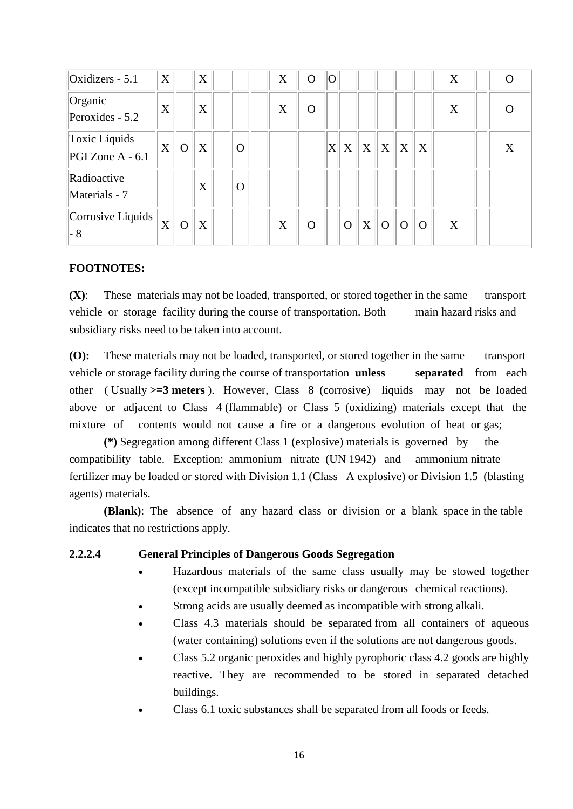| Oxidizers - $5.1$                   | X |          | X |          | X | O        | IO. |                |   |          |          |          | X |   |
|-------------------------------------|---|----------|---|----------|---|----------|-----|----------------|---|----------|----------|----------|---|---|
| Organic<br>Peroxides - $5.2$        | X |          | X |          | X | $\Omega$ |     |                |   |          |          |          | X |   |
| Toxic Liquids<br>$PGI$ Zone A - 6.1 | X | $\Omega$ | X | $\Omega$ |   |          | X   | X              | X | X        | X        | X        |   | X |
| Radioactive<br>Materials - 7        |   |          | X | $\Omega$ |   |          |     |                |   |          |          |          |   |   |
| Corrosive Liquids<br>- 8            | X | $\Omega$ | X |          | X | O        |     | $\overline{O}$ | X | $\Omega$ | $\Omega$ | $\Omega$ | X |   |

#### **FOOTNOTES:**

**(X)**: These materials may not be loaded, transported, or stored together in the same transport vehicle or storage facility during the course of transportation. Both main hazard risks and subsidiary risks need to be taken into account.

**(O):** These materials may not be loaded, transported, or stored together in the same transport vehicle or storage facility during the course of transportation **unless separated** from each other ( Usually **>=3 meters** ). However, Class 8 (corrosive) liquids may not be loaded above or adjacent to Class 4 (flammable) or Class 5 (oxidizing) materials except that the mixture of contents would not cause a fire or a dangerous evolution of heat or gas;

**(\*)** Segregation among different Class 1 (explosive) materials is governed by the compatibility table. Exception: ammonium nitrate (UN 1942) and ammonium nitrate fertilizer may be loaded or stored with Division 1.1 (Class A explosive) or Division 1.5 (blasting agents) materials.

**(Blank)**: The absence of any hazard class or division or a blank space in the table indicates that no restrictions apply.

#### **2.2.2.4 General Principles of Dangerous Goods Segregation**

- Hazardous materials of the same class usually may be stowed together (except incompatible subsidiary risks or dangerous chemical reactions).
- Strong acids are usually deemed as incompatible with strong alkali.
- Class 4.3 materials should be separated from all containers of aqueous (water containing) solutions even if the solutions are not dangerous goods.
- Class 5.2 organic peroxides and highly pyrophoric class 4.2 goods are highly reactive. They are recommended to be stored in separated detached buildings.
- Class 6.1 toxic substances shall be separated from all foods or feeds.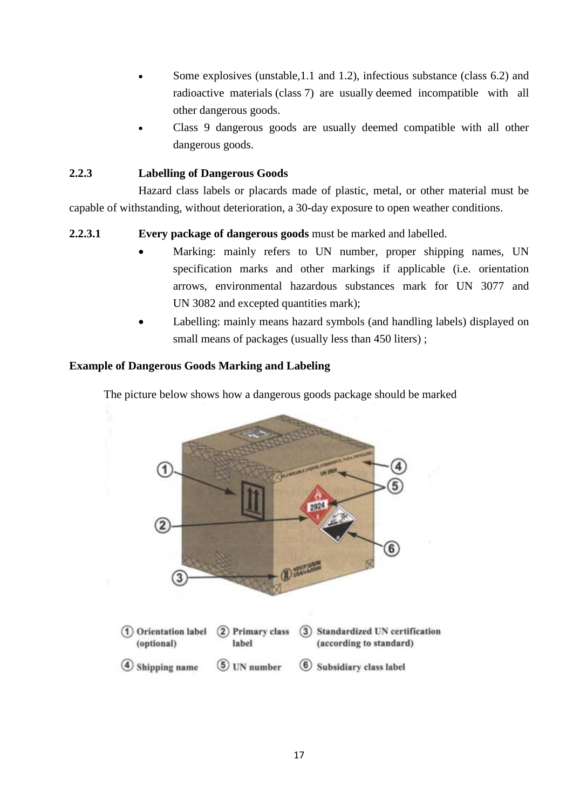- Some explosives (unstable, 1.1 and 1.2), infectious substance (class 6.2) and radioactive materials (class 7) are usually deemed incompatible with all other dangerous goods.
- Class 9 dangerous goods are usually deemed compatible with all other dangerous goods.

# **2.2.3 Labelling of Dangerous Goods**

Hazard class labels or placards made of plastic, metal, or other material must be capable of withstanding, without deterioration, a 30-day exposure to open weather conditions.

# **2.2.3.1 Every package of dangerous goods** must be marked and labelled.

- Marking: mainly refers to UN number, proper shipping names, UN specification marks and other markings if applicable (i.e. orientation arrows, environmental hazardous substances mark for UN 3077 and UN 3082 and excepted quantities mark);
- Labelling: mainly means hazard symbols (and handling labels) displayed on small means of packages (usually less than 450 liters);

## **Example of Dangerous Goods Marking and Labeling**

The picture below shows how a dangerous goods package should be marked

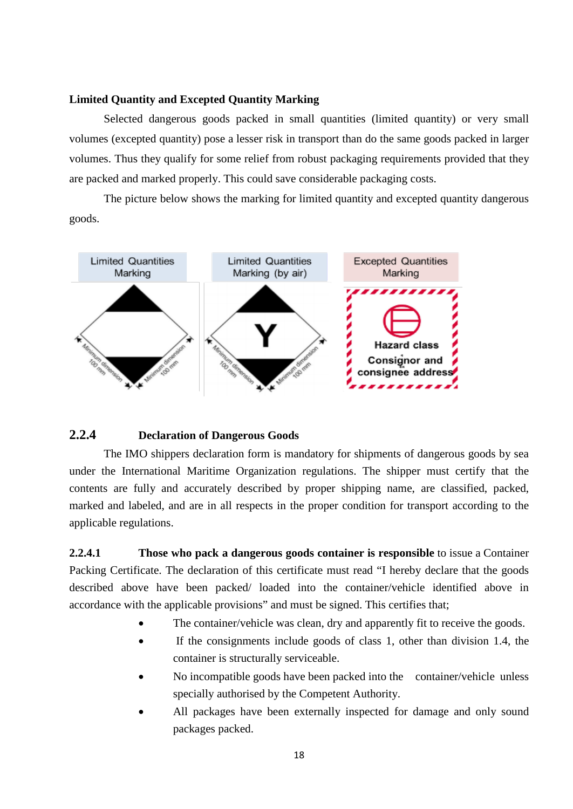#### **Limited Quantity and Excepted Quantity Marking**

Selected dangerous goods packed in small quantities (limited quantity) or very small volumes (excepted quantity) pose a lesser risk in transport than do the same goods packed in larger volumes. Thus they qualify for some relief from robust packaging requirements provided that they are packed and marked properly. This could save considerable packaging costs.

The picture below shows the marking for limited quantity and excepted quantity dangerous goods.



#### **2.2.4 Declaration of Dangerous Goods**

The IMO shippers declaration form is mandatory for shipments of dangerous goods by sea under the International Maritime Organization regulations. The shipper must certify that the contents are fully and accurately described by proper shipping name, are classified, packed, marked and labeled, and are in all respects in the proper condition for transport according to the applicable regulations.

**2.2.4.1 Those who pack a dangerous goods container is responsible** to issue a Container Packing Certificate. The declaration of this certificate must read "I hereby declare that the goods described above have been packed/ loaded into the container/vehicle identified above in accordance with the applicable provisions" and must be signed. This certifies that;

- The container/vehicle was clean, dry and apparently fit to receive the goods.
- If the consignments include goods of class 1, other than division 1.4, the container is structurally serviceable.
- No incompatible goods have been packed into the container/vehicle unless specially authorised by the Competent Authority.
- All packages have been externally inspected for damage and only sound packages packed.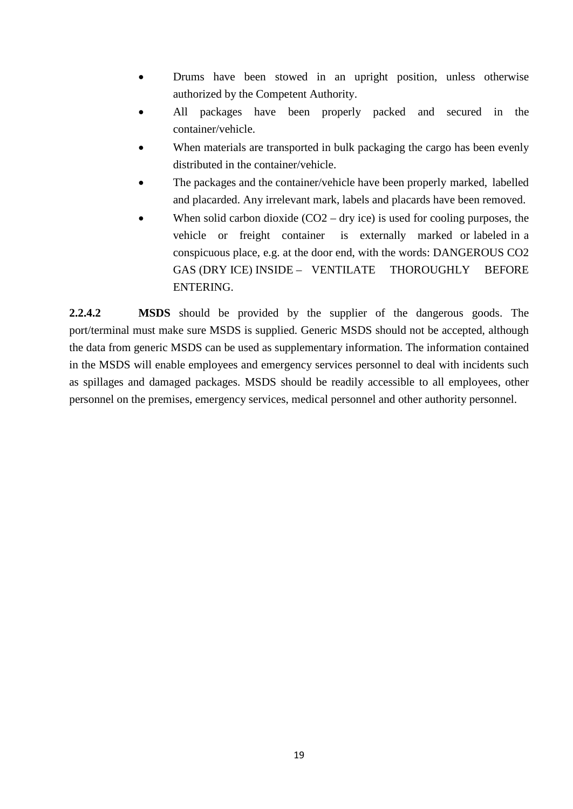- Drums have been stowed in an upright position, unless otherwise authorized by the Competent Authority.
- All packages have been properly packed and secured in the container/vehicle.
- When materials are transported in bulk packaging the cargo has been evenly distributed in the container/vehicle.
- The packages and the container/vehicle have been properly marked, labelled and placarded. Any irrelevant mark, labels and placards have been removed.
- When solid carbon dioxide  $(CO2 dry$  ice) is used for cooling purposes, the vehicle or freight container is externally marked or labeled in a conspicuous place, e.g. at the door end, with the words: DANGEROUS CO2 GAS (DRY ICE) INSIDE – VENTILATE THOROUGHLY BEFORE ENTERING.

**2.2.4.2 MSDS** should be provided by the supplier of the dangerous goods. The port/terminal must make sure MSDS is supplied. Generic MSDS should not be accepted, although the data from generic MSDS can be used as supplementary information. The information contained in the MSDS will enable employees and emergency services personnel to deal with incidents such as spillages and damaged packages. MSDS should be readily accessible to all employees, other personnel on the premises, emergency services, medical personnel and other authority personnel.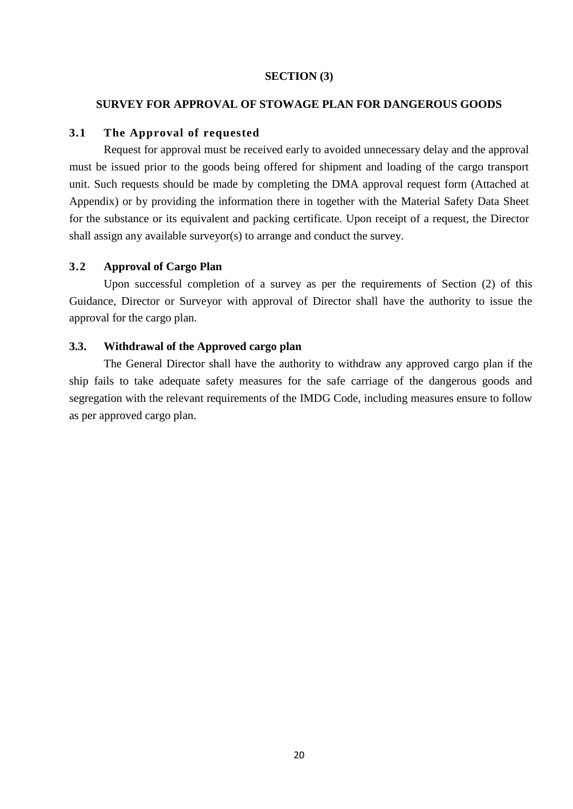#### **SECTION (3)**

#### **SURVEY FOR APPROVAL OF STOWAGE PLAN FOR DANGEROUS GOODS**

#### **3.1 The Approval of requested**

Request for approval must be received early to avoided unnecessary delay and the approval must be issued prior to the goods being offered for shipment and loading of the cargo transport unit. Such requests should be made by completing the DMA approval request form (Attached at Appendix) or by providing the information there in together with the Material Safety Data Sheet for the substance or its equivalent and packing certificate. Upon receipt of a request, the Director shall assign any available surveyor(s) to arrange and conduct the survey.

#### **3.2 Approval of Cargo Plan**

Upon successful completion of a survey as per the requirements of Section (2) of this Guidance, Director or Surveyor with approval of Director shall have the authority to issue the approval for the cargo plan.

#### **3.3. Withdrawal of the Approved cargo plan**

The General Director shall have the authority to withdraw any approved cargo plan if the ship fails to take adequate safety measures for the safe carriage of the dangerous goods and segregation with the relevant requirements of the IMDG Code, including measures ensure to follow as per approved cargo plan.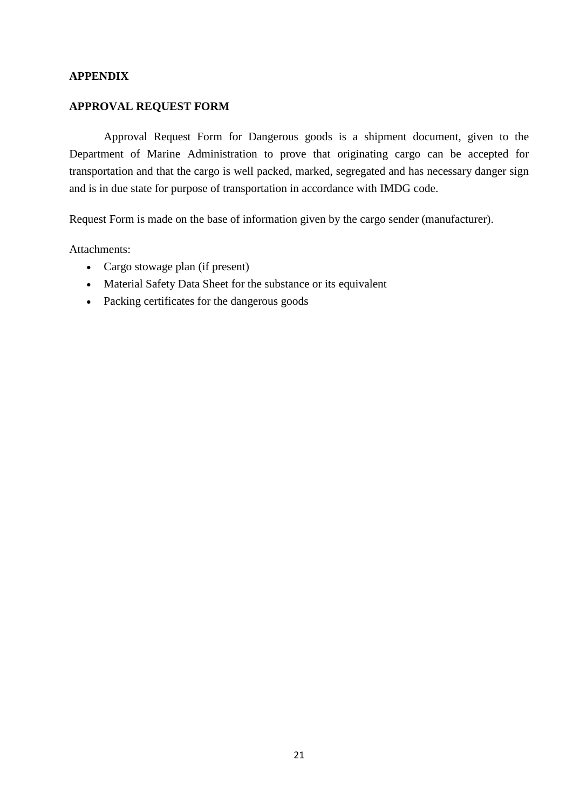#### **APPENDIX**

#### **APPROVAL REQUEST FORM**

Approval Request Form for Dangerous goods is a shipment document, given to the Department of Marine Administration to prove that originating cargo can be accepted for transportation and that the cargo is well packed, marked, segregated and has necessary danger sign and is in due state for purpose of transportation in accordance with IMDG code.

Request Form is made on the base of information given by the cargo sender (manufacturer).

Attachments:

- Cargo stowage plan (if present)
- Material Safety Data Sheet for the substance or its equivalent
- Packing certificates for the dangerous goods